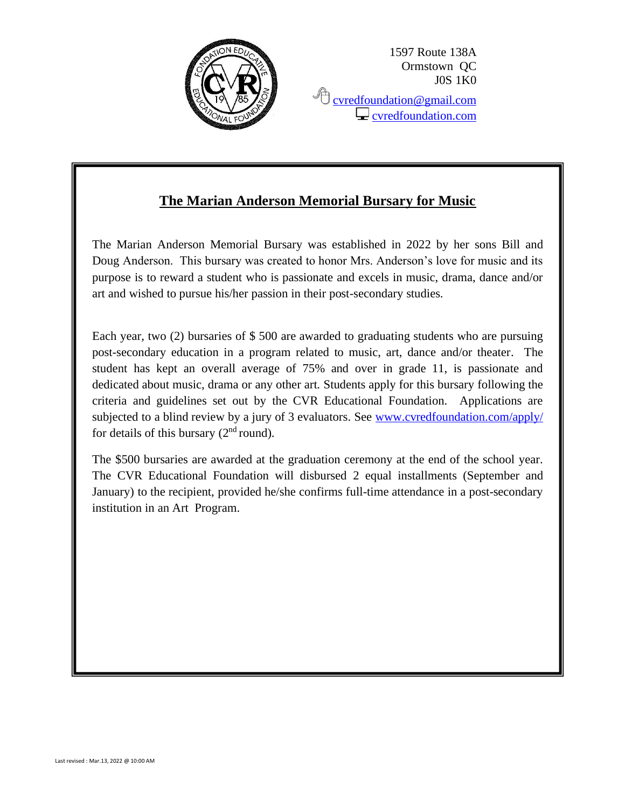

1597 Route 138A Ormstown QC J0S 1K0 **C** [cvredfoundation@gmail.com](mailto:cvredfoundation@gmail.com)

 $\Box$  [cvredfoundation.com](http://www.cvredfoundation.com/)

## **The Marian Anderson Memorial Bursary for Music**

The Marian Anderson Memorial Bursary was established in 2022 by her sons Bill and Doug Anderson. This bursary was created to honor Mrs. Anderson's love for music and its purpose is to reward a student who is passionate and excels in music, drama, dance and/or art and wished to pursue his/her passion in their post-secondary studies.

Each year, two (2) bursaries of \$ 500 are awarded to graduating students who are pursuing post-secondary education in a program related to music, art, dance and/or theater. The student has kept an overall average of 75% and over in grade 11, is passionate and dedicated about music, drama or any other art. Students apply for this bursary following the criteria and guidelines set out by the CVR Educational Foundation. Applications are subjected to a blind review by a jury of 3 evaluators. See [www.cvredfoundation.com/apply/](http://www.cvredfoundation.com/apply/) for details of this bursary  $(2<sup>nd</sup>$  round).

The \$500 bursaries are awarded at the graduation ceremony at the end of the school year. The CVR Educational Foundation will disbursed 2 equal installments (September and January) to the recipient, provided he/she confirms full-time attendance in a post-secondary institution in an Art Program.